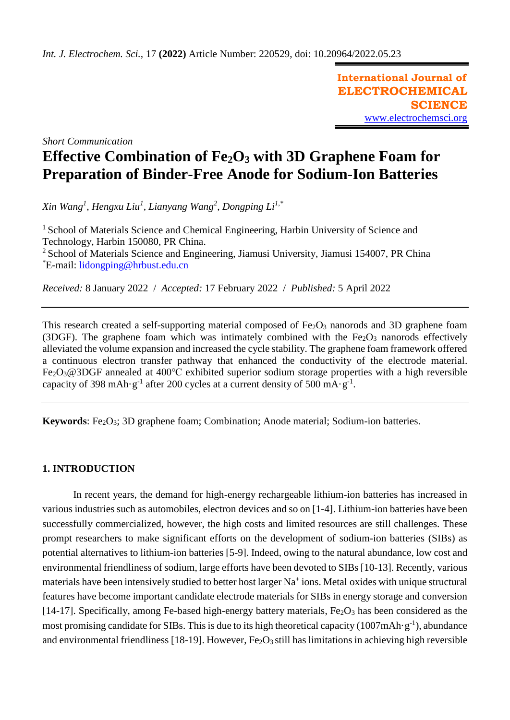**International Journal of ELECTROCHEMICAL SCIENCE** [www.electrochemsci.org](http://www.electrochemsci.org/)

*Short Communication*

# **Effective Combination of Fe2O<sup>3</sup> with 3D Graphene Foam for Preparation of Binder-Free Anode for Sodium-Ion Batteries**

*Xin Wang<sup>1</sup> , Hengxu Liu<sup>1</sup> , Lianyang Wang<sup>2</sup> , Dongping Li1,\**

<sup>1</sup> School of Materials Science and Chemical Engineering, Harbin University of Science and Technology, Harbin 150080, PR China. <sup>2</sup> School of Materials Science and Engineering, Jiamusi University, Jiamusi 154007, PR China \*E-mail: [lidongping@hrbust.edu.cn](mailto:lidongping@hrbust.edu.cn)

*Received:* 8 January 2022/ *Accepted:* 17 February 2022 / *Published:* 5 April 2022

This research created a self-supporting material composed of  $Fe<sub>2</sub>O<sub>3</sub>$  nanorods and 3D graphene foam (3DGF). The graphene foam which was intimately combined with the  $Fe<sub>2</sub>O<sub>3</sub>$  nanorods effectively alleviated the volume expansion and increased the cycle stability. The graphene foam framework offered a continuous electron transfer pathway that enhanced the conductivity of the electrode material. Fe2O3@3DGF annealed at 400℃ exhibited superior sodium storage properties with a high reversible capacity of 398 mAh·g<sup>-1</sup> after 200 cycles at a current density of 500 mA·g<sup>-1</sup>.

**Keywords**: Fe<sub>2</sub>O<sub>3</sub>; 3D graphene foam; Combination; Anode material; Sodium-ion batteries.

## **1. INTRODUCTION**

In recent years, the demand for high-energy rechargeable lithium-ion batteries has increased in various industries such as automobiles, [electron](javascript:;) [devices](javascript:;) and so on [1-4]. Lithium-ion batteries have been successfully commercialized, however, the high costs and limited resources are still challenges. These prompt researchers to make significant efforts on the development of sodium-ion batteries (SIBs) as potential alternatives to lithium-ion batteries [5-9]. Indeed, owing to the natural abundance, low cost and environmental friendliness of sodium, large efforts have been devoted to SIBs [10-13]. Recently, various materials have been intensively studied to better host larger Na<sup>+</sup> ions[. Metal](javascript:;) [oxides](javascript:;) with unique structural features have become important candidate electrode materials for SIBs in energy storage and conversion [14-17]. Specifically, among Fe-based high-energy battery materials,  $Fe<sub>2</sub>O<sub>3</sub>$  has been considered as the most promising candidate for SIBs. This is due to its high theoretical capacity (1007mAh·g<sup>-1</sup>), abundance and environmental friendliness [18-19]. However, Fe<sub>2</sub>O<sub>3</sub> still has limitations in achieving high reversible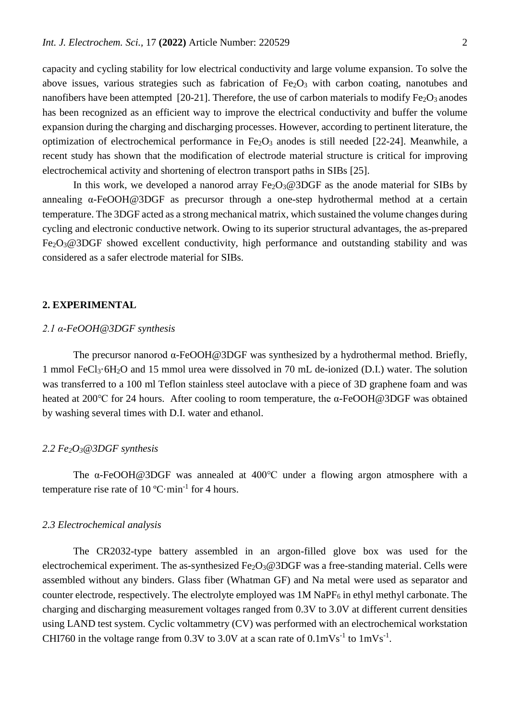capacity and cycling stability for low electrical conductivity and large volume expansion. To solve the above issues, various strategies such as fabrication of  $Fe<sub>2</sub>O<sub>3</sub>$  with carbon coating, nanotubes and nanofibers have been attempted [20-21]. Therefore, the use of carbon materials to modify  $Fe<sub>2</sub>O<sub>3</sub>$  anodes has been recognized as an efficient way to improve the electrical conductivity and buffer the volume expansion during the charging and discharging processes. However, according to pertinent literature, the optimization of electrochemical performance in  $Fe<sub>2</sub>O<sub>3</sub>$  anodes is still needed [22-24]. Meanwhile, a recent study has shown that the modification of electrode material structure is critical for improving electrochemical activity and shortening of electron transport paths in SIBs [25].

In this work, we developed a nanorod array  $Fe<sub>2</sub>O<sub>3</sub>@3DGF$  as the anode material for SIBs by annealing α-FeOOH@3DGF as precursor through a one-step hydrothermal method at a certain temperature. The 3DGF acted as a strong mechanical matrix, which sustained the volume changes during cycling and electronic conductive network. Owing to its superior structural advantages, the as-prepared Fe<sub>2</sub>O<sub>3</sub>@3DGF showed excellent conductivity, high performance and outstanding stability and was considered as a safer electrode material for SIBs.

## **2. EXPERIMENTAL**

#### *2.1 α-FeOOH@3DGF synthesis*

The precursor nanorod  $\alpha$ -FeOOH@3DGF was synthesized by a hydrothermal method. Briefly, 1 mmol FeCl3·6H2O and 15 mmol urea were dissolved in 70 mL de-ionized (D.I.) water. The solution was transferred to a 100 ml Teflon stainless steel autoclave with a piece of 3D graphene foam and was heated at 200℃ for 24 hours. After cooling to room temperature, the α-FeOOH@3DGF was obtained by washing several times with D.I. water and ethanol.

## *2.2 Fe2O3@3DGF synthesis*

The α-FeOOH@3DGF was annealed at 400℃ under a flowing argon atmosphere with a temperature rise rate of 10  $^{\circ}$ C·min<sup>-1</sup> for 4 hours.

## *2.3 Electrochemical analysis*

The CR2032-type battery assembled in an argon-filled glove box was used for the electrochemical experiment. The as-synthesized  $Fe<sub>2</sub>O<sub>3</sub>@3DGF$  was a free-standing material. Cells were assembled without any binders. Glass fiber (Whatman GF) and Na metal were used as separator and counter electrode, respectively. The electrolyte employed was 1M NaPF<sub>6</sub> in ethyl methyl carbonate. The charging and discharging measurement voltages ranged from 0.3V to 3.0V at different current densities using LAND test system. Cyclic voltammetry (CV) was performed with an electrochemical workstation CHI760 in the voltage range from 0.3V to 3.0V at a scan rate of  $0.1 \text{mVs}^{-1}$  to  $1 \text{mVs}^{-1}$ .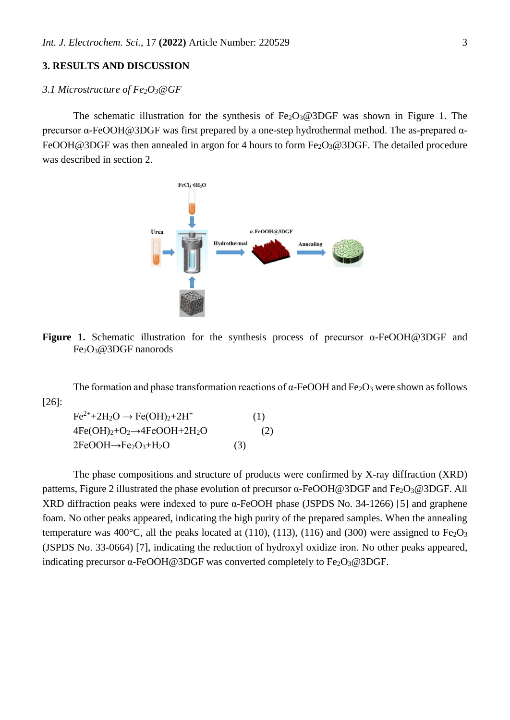## **3. RESULTS AND DISCUSSION**

## *3.1 Microstructure of Fe2O3@GF*

The schematic illustration for the synthesis of  $Fe<sub>2</sub>O<sub>3</sub>@3DGF$  was shown in Figure 1. The precursor α-FeOOH@3DGF was first prepared by a one-step hydrothermal method. The as-prepared α-FeOOH@3DGF was then annealed in argon for 4 hours to form  $Fe<sub>2</sub>O<sub>3</sub>@3DGF$ . The detailed procedure was described in section 2.



**Figure 1.** Schematic illustration for the synthesis process of precursor α-FeOOH@3DGF and Fe2O3@3DGF nanorods

The formation and phase transformation reactions of  $\alpha$ -FeOOH and Fe<sub>2</sub>O<sub>3</sub> were shown as follows [26]:

 $Fe^{2+}+2H_2O \rightarrow Fe(OH)_2+2H^+$  (1)  $4Fe(OH)<sub>2</sub>+O<sub>2</sub>\rightarrow 4FeOOH+2H<sub>2</sub>O$  (2)  $2FeOOH \rightarrow Fe_2O_3 + H_2O$  (3)

The phase compositions and structure of products were confirmed by X-ray diffraction (XRD) patterns, Figure 2 illustrated the phase evolution of precursor α-FeOOH@3DGF and Fe<sub>2</sub>O<sub>3</sub>@3DGF. All XRD diffraction peaks were indexed to pure α-FeOOH phase (JSPDS No. 34-1266) [5] and graphene foam. No other peaks appeared, indicating the high purity of the prepared samples. When the annealing temperature was 400 $^{\circ}$ C, all the peaks located at (110), (113), (116) and (300) were assigned to Fe<sub>2</sub>O<sub>3</sub> (JSPDS No. 33-0664) [7], indicating the reduction of hydroxyl oxidize iron. No other peaks appeared, indicating precursor  $\alpha$ -FeOOH@3DGF was converted completely to Fe<sub>2</sub>O<sub>3</sub>@3DGF.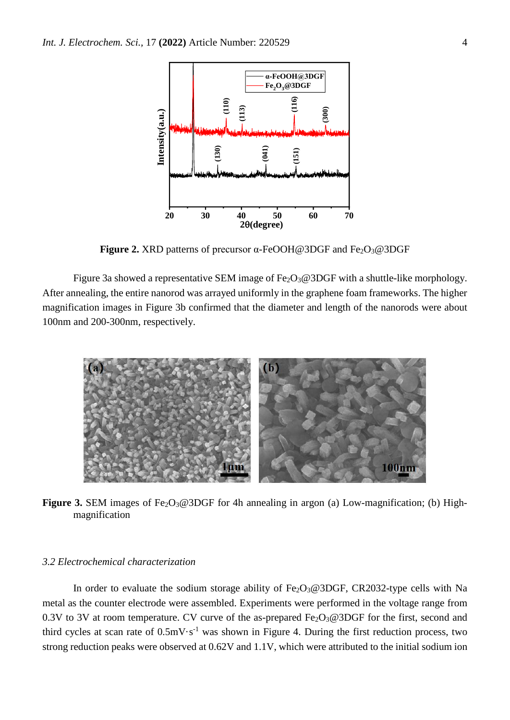

**Figure 2.** XRD patterns of precursor α-FeOOH@3DGF and Fe2O3@3DGF

Figure 3a showed a representative SEM image of  $Fe<sub>2</sub>O<sub>3</sub>@3DGF$  with a shuttle-like morphology. After annealing, the entire nanorod was arrayed uniformly in the graphene foam frameworks. The higher magnification images in Figure 3b confirmed that the diameter and length of the nanorods were about 100nm and 200-300nm, respectively.



Figure 3. SEM images of Fe<sub>2</sub>O<sub>3</sub>@3DGF for 4h annealing in argon (a) Low-magnification; (b) Highmagnification

### *3.2 Electrochemical characterization*

In order to evaluate the sodium storage ability of  $Fe<sub>2</sub>O<sub>3</sub>@3DGF$ , CR2032-type cells with Na metal as the counter electrode were assembled. Experiments were performed in the voltage range from 0.3V to 3V at room temperature. CV curve of the as-prepared  $Fe<sub>2</sub>O<sub>3</sub>@3DGF$  for the first, second and third cycles at scan rate of  $0.5 \text{mV} \cdot \text{s}^{-1}$  was shown in Figure 4. During the first reduction process, two strong reduction peaks were observed at 0.62V and 1.1V, which were attributed to the initial sodium ion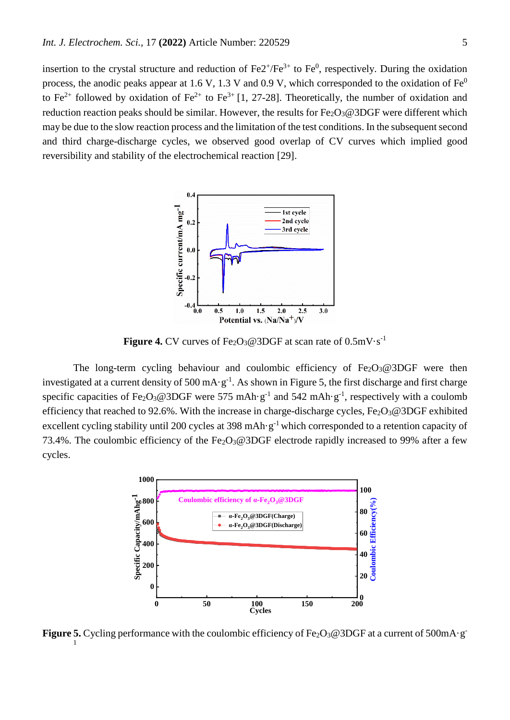insertion to the crystal structure and reduction of  $Fe2^{+}/Fe^{3+}$  to  $Fe^{0}$ , respectively. During the oxidation process, the anodic peaks appear at 1.6 V, 1.3 V and 0.9 V, which corresponded to the oxidation of  $Fe<sup>0</sup>$ to Fe<sup>2+</sup> followed by oxidation of Fe<sup>2+</sup> to Fe<sup>3+</sup> [1, 27-28]. Theoretically, the number of oxidation and reduction reaction peaks should be similar. However, the results for  $Fe<sub>2</sub>O<sub>3</sub>@3DGF$  were different which may be due to the slow reaction process and the limitation of the test conditions. In the subsequent second and third charge-discharge cycles, we observed good overlap of CV curves which implied good reversibility and stability of the electrochemical reaction [29].



**Figure 4.** CV curves of Fe<sub>2</sub>O<sub>3</sub>@3DGF at scan rate of  $0.5 \text{mV} \cdot \text{s}^{-1}$ 

The long-term cycling behaviour and coulombic efficiency of  $Fe<sub>2</sub>O<sub>3</sub>@3DGF$  were then investigated at a current density of 500 mA·g<sup>-1</sup>. As shown in Figure 5, the first discharge and first charge specific capacities of Fe<sub>2</sub>O<sub>3</sub>@3DGF were 575 mAh·g<sup>-1</sup> and 542 mAh·g<sup>-1</sup>, respectively with a coulomb efficiency that reached to 92.6%. With the increase in charge-discharge cycles,  $Fe<sub>2</sub>O<sub>3</sub>@3DGF$  exhibited excellent cycling stability until 200 cycles at 398 mAh·g<sup>-1</sup> which corresponded to a retention capacity of 73.4%. The coulombic efficiency of the Fe<sub>2</sub>O<sub>3</sub>@3DGF electrode rapidly increased to 99% after a few cycles.



Figure 5. Cycling performance with the coulombic efficiency of Fe<sub>2</sub>O<sub>3</sub>@3DGF at a current of 500mA·g<sup>-</sup> 1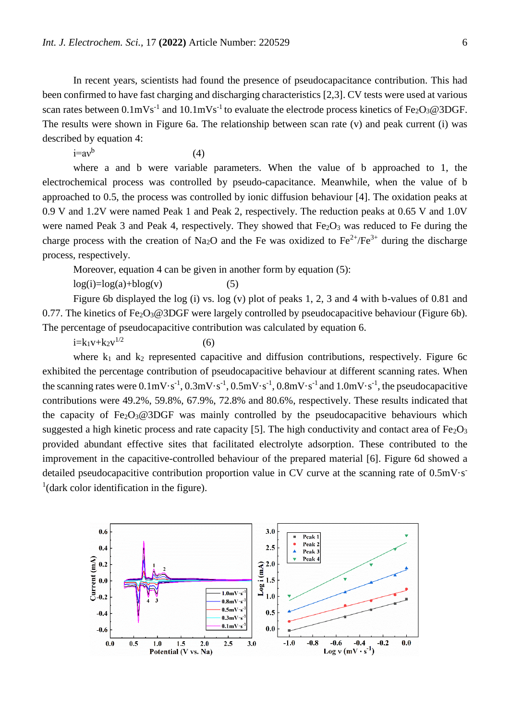In recent years, scientists had found the presence of pseudocapacitance contribution. This had been confirmed to have fast charging and discharging characteristics [2,3]. CV tests were used at various scan rates between  $0.1 \text{mVs}^{-1}$  and  $10.1 \text{mVs}^{-1}$  to evaluate the electrode process kinetics of Fe<sub>2</sub>O<sub>3</sub>@3DGF. The results were shown in Figure 6a. The relationship between scan rate (v) and peak current (i) was described by equation 4:

i=aν<sup>b</sup> (4)

where a and b were variable parameters. When the value of b approached to 1, the electrochemical process was controlled by pseudo-capacitance. Meanwhile, when the value of b approached to 0.5, the process was controlled by ionic diffusion behaviour [4]. The oxidation peaks at 0.9 V and 1.2V were named Peak 1 and Peak 2, respectively. The reduction peaks at 0.65 V and 1.0V were named Peak 3 and Peak 4, respectively. They showed that  $Fe<sub>2</sub>O<sub>3</sub>$  was reduced to Fe during the charge process with the creation of Na<sub>2</sub>O and the Fe was oxidized to Fe<sup>2+</sup>/Fe<sup>3+</sup> during the discharge process, respectively.

Moreover, equation 4 can be given in another form by equation (5):

 $log(i)=log(a)+blog(v)$  (5)

Figure 6b displayed the log (i) vs. log (v) plot of peaks 1, 2, 3 and 4 with b-values of 0.81 and 0.77. The kinetics of  $Fe<sub>2</sub>O<sub>3</sub>@3DGF$  were largely controlled by pseudocapacitive behaviour (Figure 6b). The percentage of pseudocapacitive contribution was calculated by equation 6.

 $i=k_1v+k_2v^{1/2}$  $1/2$  (6)

where  $k_1$  and  $k_2$  represented capacitive and diffusion contributions, respectively. Figure 6c exhibited the percentage contribution of pseudocapacitive behaviour at different scanning rates. When the scanning rates were  $0.1 \text{mV} \cdot \text{s}^{-1}$ ,  $0.3 \text{mV} \cdot \text{s}^{-1}$ ,  $0.5 \text{mV} \cdot \text{s}^{-1}$ ,  $0.8 \text{mV} \cdot \text{s}^{-1}$  and  $1.0 \text{mV} \cdot \text{s}^{-1}$ , the pseudocapacitive contributions were 49.2%, 59.8%, 67.9%, 72.8% and 80.6%, respectively. These results indicated that the capacity of  $Fe<sub>2</sub>O<sub>3</sub>@3DGF$  was mainly controlled by the pseudocapacitive behaviours which suggested a high kinetic process and rate capacity [5]. The high conductivity and contact area of  $Fe<sub>2</sub>O<sub>3</sub>$ provided abundant effective sites that facilitated electrolyte adsorption. These contributed to the improvement in the capacitive-controlled behaviour of the prepared material [6]. Figure 6d showed a detailed pseudocapacitive contribution proportion value in CV curve at the scanning rate of 0.5mV·s- $<sup>1</sup>$ (dark color identification in the figure).</sup>

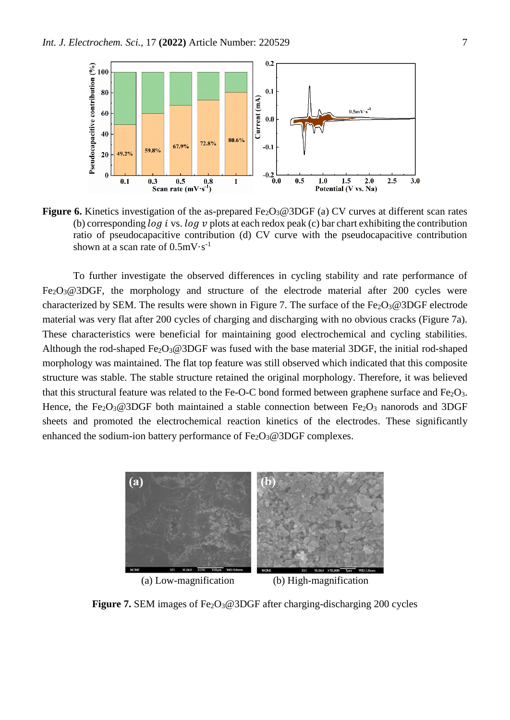

**Figure 6.** Kinetics investigation of the as-prepared  $Fe<sub>2</sub>O<sub>3</sub>@3DGF$  (a) CV curves at different scan rates (b) corresponding  $\log i$  vs.  $\log v$  plots at each redox peak (c) bar chart exhibiting the contribution ratio of pseudocapacitive contribution (d) CV curve with the pseudocapacitive contribution shown at a scan rate of  $0.5 \text{mV} \cdot \text{s}^{-1}$ 

To further investigate the observed differences in cycling stability and rate performance of  $Fe<sub>2</sub>O<sub>3</sub>@3DGF$ , the morphology and structure of the electrode material after 200 cycles were characterized by SEM. The results were shown in Figure 7. The surface of the  $Fe<sub>2</sub>O<sub>3</sub>@3DGF$  electrode material was very flat after 200 cycles of charging and discharging with no obvious cracks (Figure 7a). These characteristics were beneficial for maintaining good electrochemical and cycling stabilities. Although the rod-shaped  $Fe<sub>2</sub>O<sub>3</sub>@3DGF$  was fused with the base material 3DGF, the initial rod-shaped morphology was maintained. The flat top feature was still observed which indicated that this composite structure was stable. The stable structure retained the original morphology. Therefore, it was believed that this structural feature was related to the Fe-O-C bond formed between graphene surface and  $Fe<sub>2</sub>O<sub>3</sub>$ . Hence, the Fe<sub>2</sub>O<sub>3</sub>@3DGF both maintained a stable connection between Fe<sub>2</sub>O<sub>3</sub> nanorods and 3DGF sheets and promoted the electrochemical reaction kinetics of the electrodes. These significantly enhanced the sodium-ion battery performance of  $Fe<sub>2</sub>O<sub>3</sub>@3DGF$  complexes.



(a) Low-magnification (b) High-magnification

**Figure 7.** SEM images of Fe<sub>2</sub>O<sub>3</sub>@3DGF after charging-discharging 200 cycles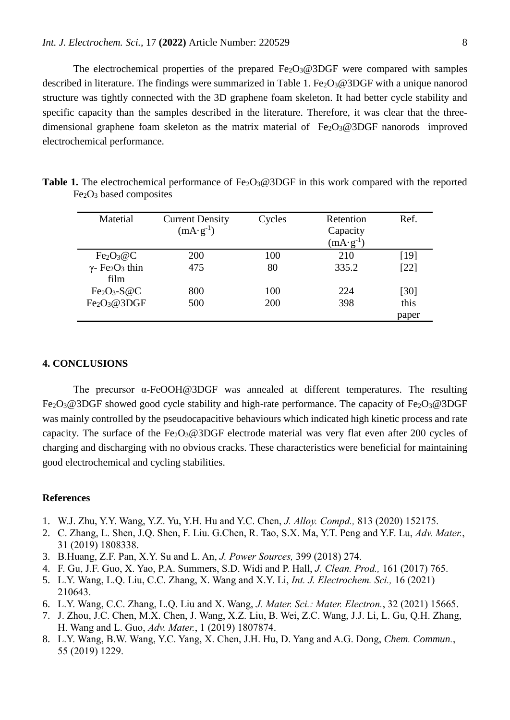The electrochemical properties of the prepared  $Fe<sub>2</sub>O<sub>3</sub>@3DGF$  were compared with samples described in literature. The findings were summarized in Table 1. Fe<sub>2</sub>O<sub>3</sub>@3DGF with a unique nanorod structure was tightly connected with the 3D graphene foam skeleton. It had better cycle stability and specific capacity than the samples described in the literature. Therefore, it was clear that the threedimensional graphene foam skeleton as the matrix material of  $Fe<sub>2</sub>O<sub>3</sub>@3DGF$  nanorods improved electrochemical performance.

| Matetial                                       | <b>Current Density</b><br>$(mA \cdot g^{-1})$ | Cycles | Retention<br>Capacity<br>$(mA·g-1)$ | Ref.   |
|------------------------------------------------|-----------------------------------------------|--------|-------------------------------------|--------|
| Fe <sub>2</sub> O <sub>3</sub> @C              | <b>200</b>                                    | 100    | 210                                 | $[19]$ |
| $\gamma$ - Fe <sub>2</sub> O <sub>3</sub> thin | 475                                           | 80     | 335.2                               | $[22]$ |
| film                                           |                                               |        |                                     |        |
| $Fe2O3-S@C$                                    | 800                                           | 100    | 224                                 | [30]   |
| Fe <sub>2</sub> O <sub>3</sub> @3DGF           | 500                                           | 200    | 398                                 | this   |
|                                                |                                               |        |                                     | paper  |

**Table 1.** The electrochemical performance of Fe<sub>2</sub>O<sub>3</sub>@3DGF in this work compared with the reported Fe2O<sup>3</sup> based composites

## **4. CONCLUSIONS**

The precursor  $\alpha$ -FeOOH@3DGF was annealed at different temperatures. The resulting Fe<sub>2</sub>O<sub>3</sub>@3DGF showed good cycle stability and high-rate performance. The capacity of Fe<sub>2</sub>O<sub>3</sub>@3DGF was mainly controlled by the pseudocapacitive behaviours which indicated high kinetic process and rate capacity. The surface of the  $Fe<sub>2</sub>O<sub>3</sub>@3DGF$  electrode material was very flat even after 200 cycles of charging and discharging with no obvious cracks. These characteristics were beneficial for maintaining good electrochemical and cycling stabilities.

## **References**

- 1. W.J. Zhu, Y.Y. Wang, Y.Z. Yu, Y.H. Hu and Y.C. Chen, *J. Alloy. Compd.,* 813 (2020) 152175.
- 2. C. Zhang, L. Shen, J.Q. Shen, F. Liu. G.Chen, R. Tao, S.X. Ma, Y.T. Peng and Y.F. Lu, *Adv. Mater.*, 31 (2019) 1808338.
- 3. B.Huang, Z.F. Pan, X.Y. Su and L. An, *J. Power Sources,* 399 (2018) 274.
- 4. F. Gu, J.F. Guo, X. Yao, P.A. Summers, S.D. Widi and P. Hall, *J. Clean. Prod.,* 161 (2017) 765.
- 5. L.Y. Wang, L.Q. Liu, C.C. Zhang, X. Wang and X.Y. Li, *Int. J. Electrochem. Sci.,* 16 (2021) 210643.
- 6. L.Y. Wang, C.C. Zhang, L.Q. Liu and X. Wang, *J. Mater. Sci.: Mater. Electron.*, 32 (2021) 15665.
- 7. J. Zhou, J.C. Chen, M.X. Chen, J. Wang, X.Z. Liu, B. Wei, Z.C. Wang, J.J. Li, L. Gu, Q.H. Zhang, H. Wang and L. Guo, *Adv. Mater.*, 1 (2019) 1807874.
- 8. L.Y. Wang, B.W. Wang, Y.C. Yang, X. Chen, J.H. Hu, D. Yang and A.G. Dong, *Chem. Commun.*, 55 (2019) 1229.